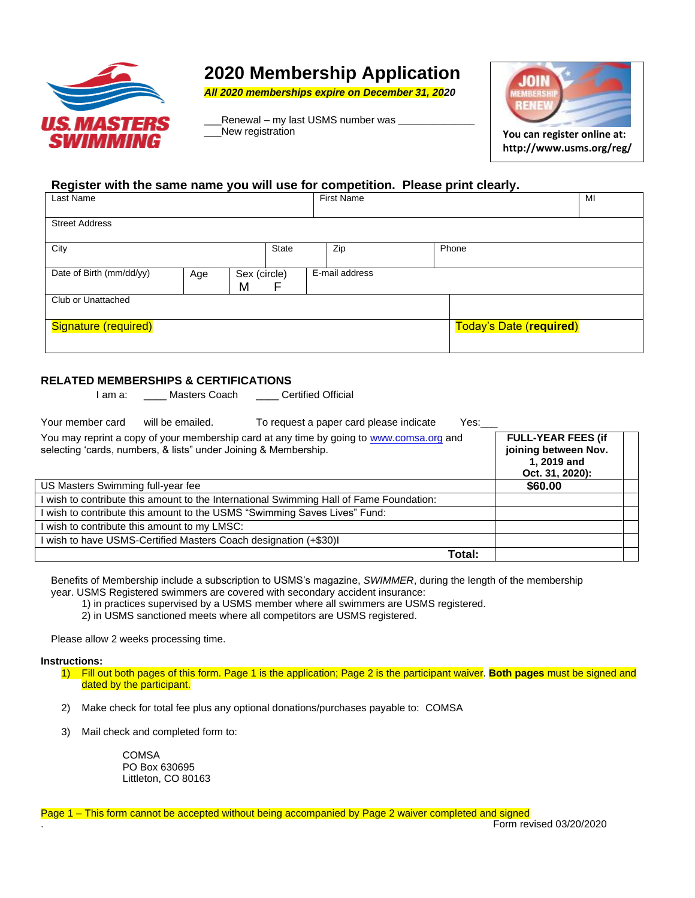

# **2020 Membership Application**

*All 2020 memberships expire on December 31, 2020*

Renewal – my last USMS number was New registration **You can register online at:** 



**http://www.usms.org/reg/**

#### **Register with the same name you will use for competition. Please print clearly.**

| Last Name                                       |  |              |                |     | <b>First Name</b>              |  |  | MI |
|-------------------------------------------------|--|--------------|----------------|-----|--------------------------------|--|--|----|
|                                                 |  |              |                |     |                                |  |  |    |
| <b>Street Address</b>                           |  |              |                |     |                                |  |  |    |
|                                                 |  |              |                |     |                                |  |  |    |
| City                                            |  | <b>State</b> |                | Zip | Phone                          |  |  |    |
|                                                 |  |              |                |     |                                |  |  |    |
| Date of Birth (mm/dd/yy)<br>Sex (circle)<br>Age |  |              | E-mail address |     |                                |  |  |    |
|                                                 |  | M            | F              |     |                                |  |  |    |
| Club or Unattached                              |  |              |                |     |                                |  |  |    |
|                                                 |  |              |                |     |                                |  |  |    |
| Signature (required)                            |  |              |                |     | <b>Today's Date (required)</b> |  |  |    |
|                                                 |  |              |                |     |                                |  |  |    |
|                                                 |  |              |                |     |                                |  |  |    |

### **RELATED MEMBERSHIPS & CERTIFICATIONS**

| I am a: | Masters Coach | <b>Certified Official</b> |
|---------|---------------|---------------------------|
|---------|---------------|---------------------------|

| Your member card<br>will be emailed.                                    | To request a paper card please indicate<br>Yes:                                          |                                                                                     |
|-------------------------------------------------------------------------|------------------------------------------------------------------------------------------|-------------------------------------------------------------------------------------|
| selecting 'cards, numbers, & lists" under Joining & Membership.         | You may reprint a copy of your membership card at any time by going to www.comsa.org and | <b>FULL-YEAR FEES (if</b><br>joining between Nov.<br>1, 2019 and<br>Oct. 31, 2020): |
| US Masters Swimming full-year fee                                       |                                                                                          | \$60.00                                                                             |
|                                                                         | I wish to contribute this amount to the International Swimming Hall of Fame Foundation:  |                                                                                     |
| wish to contribute this amount to the USMS "Swimming Saves Lives" Fund: |                                                                                          |                                                                                     |
| wish to contribute this amount to my LMSC:                              |                                                                                          |                                                                                     |
| wish to have USMS-Certified Masters Coach designation (+\$30)I          |                                                                                          |                                                                                     |
|                                                                         | Total:                                                                                   |                                                                                     |

Benefits of Membership include a subscription to USMS's magazine, *SWIMMER*, during the length of the membership year. USMS Registered swimmers are covered with secondary accident insurance:

1) in practices supervised by a USMS member where all swimmers are USMS registered.

2) in USMS sanctioned meets where all competitors are USMS registered.

Please allow 2 weeks processing time.

#### **Instructions:**

- 1) Fill out both pages of this form. Page 1 is the application; Page 2 is the participant waiver. **Both pages** must be signed and dated by the participant.
- 2) Make check for total fee plus any optional donations/purchases payable to: COMSA
- 3) Mail check and completed form to:

**COMSA** PO Box 630695 Littleton, CO 80163